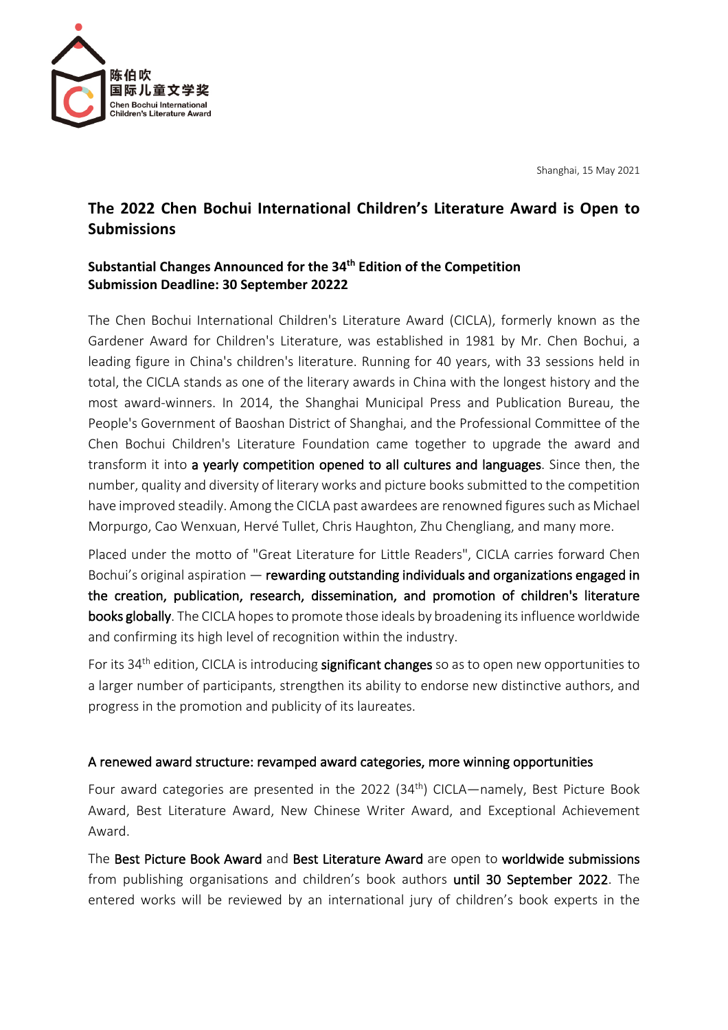

Shanghai, 15 May 2021

## **The 2022 Chen Bochui International Children's Literature Award is Open to Submissions**

## **Substantial Changes Announced for the 34th Edition of the Competition Submission Deadline: 30 September 20222**

The Chen Bochui International Children's Literature Award (CICLA), formerly known as the Gardener Award for Children's Literature, was established in 1981 by Mr. Chen Bochui, a leading figure in China's children's literature. Running for 40 years, with 33 sessions held in total, the CICLA stands as one of the literary awards in China with the longest history and the most award-winners. In 2014, the Shanghai Municipal Press and Publication Bureau, the People's Government of Baoshan District of Shanghai, and the Professional Committee of the Chen Bochui Children's Literature Foundation came together to upgrade the award and transform it into a yearly competition opened to all cultures and languages. Since then, the number, quality and diversity of literary works and picture books submitted to the competition have improved steadily. Among the CICLA past awardees are renowned figures such as Michael Morpurgo, Cao Wenxuan, Hervé Tullet, Chris Haughton, Zhu Chengliang, and many more.

Placed under the motto of "Great Literature for Little Readers", CICLA carries forward Chen Bochui's original aspiration — rewarding outstanding individuals and organizations engaged in the creation, publication, research, dissemination, and promotion of children's literature books globally. The CICLA hopes to promote those ideals by broadening its influence worldwide and confirming its high level of recognition within the industry.

For its 34<sup>th</sup> edition, CICLA is introducing **significant changes** so as to open new opportunities to a larger number of participants, strengthen its ability to endorse new distinctive authors, and progress in the promotion and publicity of its laureates.

## A renewed award structure: revamped award categories, more winning opportunities

Four award categories are presented in the 2022 (34<sup>th</sup>) CICLA—namely, Best Picture Book Award, Best Literature Award, New Chinese Writer Award, and Exceptional Achievement Award.

The Best Picture Book Award and Best Literature Award are open to worldwide submissions from publishing organisations and children's book authors until 30 September 2022. The entered works will be reviewed by an international jury of children's book experts in the